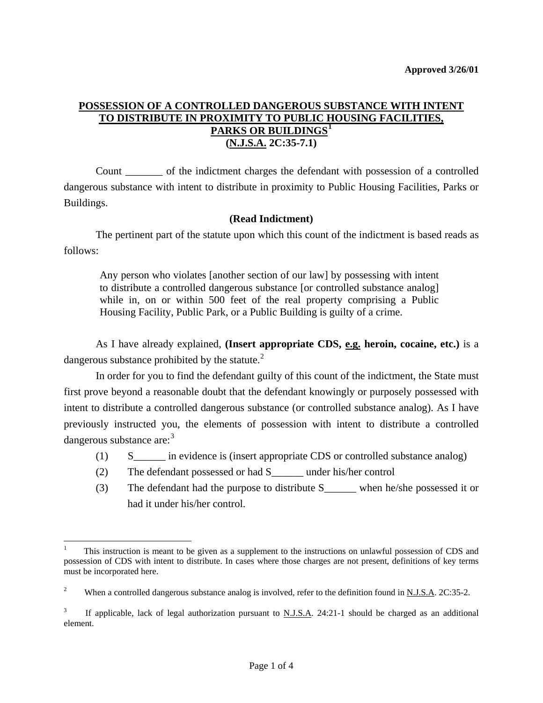## **POSSESSION OF A CONTROLLED DANGEROUS SUBSTANCE WITH INTENT TO DISTRIBUTE IN PROXIMITY TO PUBLIC HOUSING FACILITIES, PARKS OR BUILDINGS[1](#page-1-0) (N.J.S.A. 2C:35-7.1)**

 Count \_\_\_\_\_\_\_ of the indictment charges the defendant with possession of a controlled dangerous substance with intent to distribute in proximity to Public Housing Facilities, Parks or Buildings.

### **(Read Indictment)**

 The pertinent part of the statute upon which this count of the indictment is based reads as follows:

Any person who violates [another section of our law] by possessing with intent to distribute a controlled dangerous substance [or controlled substance analog] while in, on or within 500 feet of the real property comprising a Public Housing Facility, Public Park, or a Public Building is guilty of a crime.

 As I have already explained, **(Insert appropriate CDS, e.g. heroin, cocaine, etc.)** is a dangerous substance prohibited by the statute. $^{2}$  $^{2}$  $^{2}$ 

 In order for you to find the defendant guilty of this count of the indictment, the State must first prove beyond a reasonable doubt that the defendant knowingly or purposely possessed with intent to distribute a controlled dangerous substance (or controlled substance analog). As I have previously instructed you, the elements of possession with intent to distribute a controlled dangerous substance are:<sup>[3](#page-0-1)</sup>

- (1) S\_\_\_\_\_\_ in evidence is (insert appropriate CDS or controlled substance analog)
- (2) The defendant possessed or had S\_\_\_\_\_\_ under his/her control

1

(3) The defendant had the purpose to distribute S\_\_\_\_\_\_ when he/she possessed it or had it under his/her control.

<sup>1</sup> This instruction is meant to be given as a supplement to the instructions on unlawful possession of CDS and possession of CDS with intent to distribute. In cases where those charges are not present, definitions of key terms must be incorporated here.

<span id="page-0-0"></span><sup>2</sup> When a controlled dangerous substance analog is involved, refer to the definition found in N.J.S.A. 2C:35-2.

<span id="page-0-1"></span><sup>3</sup> If applicable, lack of legal authorization pursuant to N.J.S.A. 24:21-1 should be charged as an additional element.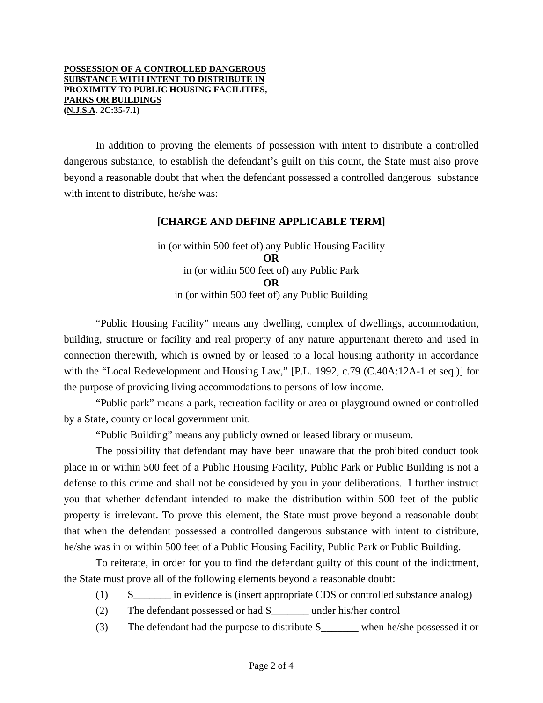#### **POSSESSION OF A CONTROLLED DANGEROUS SUBSTANCE WITH INTENT TO DISTRIBUTE IN PROXIMITY TO PUBLIC HOUSING FACILITIES, PARKS OR BUILDINGS (N.J.S.A. 2C:35-7.1)**

 In addition to proving the elements of possession with intent to distribute a controlled dangerous substance, to establish the defendant's guilt on this count, the State must also prove beyond a reasonable doubt that when the defendant possessed a controlled dangerous substance with intent to distribute, he/she was:

#### **[CHARGE AND DEFINE APPLICABLE TERM]**

in (or within 500 feet of) any Public Housing Facility **OR**  in (or within 500 feet of) any Public Park **OR**  in (or within 500 feet of) any Public Building

"Public Housing Facility" means any dwelling, complex of dwellings, accommodation, building, structure or facility and real property of any nature appurtenant thereto and used in connection therewith, which is owned by or leased to a local housing authority in accordance with the "Local Redevelopment and Housing Law," [P.L. 1992, c.79 (C.40A:12A-1 et seq.)] for the purpose of providing living accommodations to persons of low income.

 "Public park" means a park, recreation facility or area or playground owned or controlled by a State, county or local government unit.

"Public Building" means any publicly owned or leased library or museum.

 The possibility that defendant may have been unaware that the prohibited conduct took place in or within 500 feet of a Public Housing Facility, Public Park or Public Building is not a defense to this crime and shall not be considered by you in your deliberations. I further instruct you that whether defendant intended to make the distribution within 500 feet of the public property is irrelevant. To prove this element, the State must prove beyond a reasonable doubt that when the defendant possessed a controlled dangerous substance with intent to distribute, he/she was in or within 500 feet of a Public Housing Facility, Public Park or Public Building.

<span id="page-1-0"></span> To reiterate, in order for you to find the defendant guilty of this count of the indictment, the State must prove all of the following elements beyond a reasonable doubt:

- (1) S\_\_\_\_\_\_\_ in evidence is (insert appropriate CDS or controlled substance analog)
- (2) The defendant possessed or had S\_\_\_\_\_\_\_ under his/her control
- (3) The defendant had the purpose to distribute S\_\_\_\_\_\_\_ when he/she possessed it or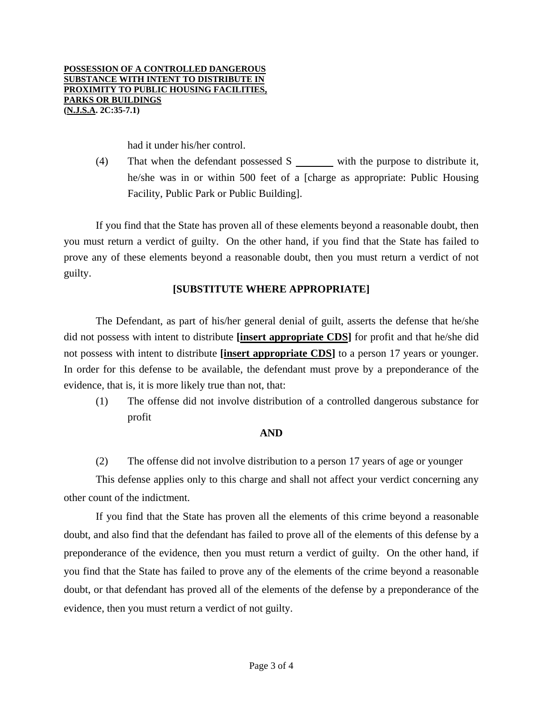had it under his/her control.

(4) That when the defendant possessed  $S$  with the purpose to distribute it, he/she was in or within 500 feet of a [charge as appropriate: Public Housing Facility, Public Park or Public Building].

 If you find that the State has proven all of these elements beyond a reasonable doubt, then you must return a verdict of guilty. On the other hand, if you find that the State has failed to prove any of these elements beyond a reasonable doubt, then you must return a verdict of not guilty.

## **[SUBSTITUTE WHERE APPROPRIATE]**

 The Defendant, as part of his/her general denial of guilt, asserts the defense that he/she did not possess with intent to distribute **[insert appropriate CDS]** for profit and that he/she did not possess with intent to distribute **[insert appropriate CDS]** to a person 17 years or younger. In order for this defense to be available, the defendant must prove by a preponderance of the evidence, that is, it is more likely true than not, that:

(1) The offense did not involve distribution of a controlled dangerous substance for profit

## **AND**

(2) The offense did not involve distribution to a person 17 years of age or younger

 This defense applies only to this charge and shall not affect your verdict concerning any other count of the indictment.

 If you find that the State has proven all the elements of this crime beyond a reasonable doubt, and also find that the defendant has failed to prove all of the elements of this defense by a preponderance of the evidence, then you must return a verdict of guilty. On the other hand, if you find that the State has failed to prove any of the elements of the crime beyond a reasonable doubt, or that defendant has proved all of the elements of the defense by a preponderance of the evidence, then you must return a verdict of not guilty.